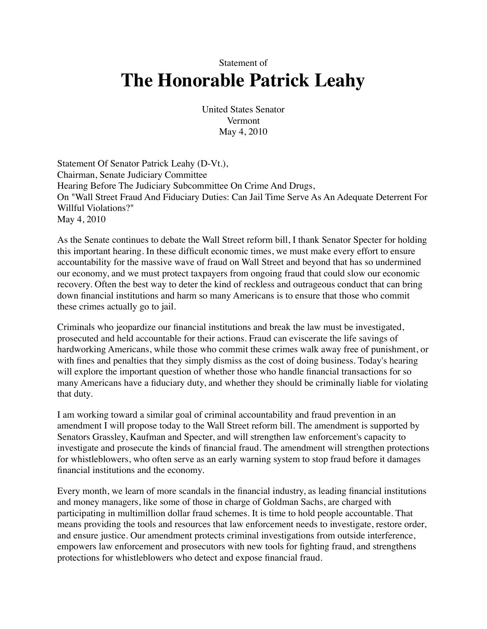Statement of

## **The Honorable Patrick Leahy**

United States Senator Vermont May 4, 2010

Statement Of Senator Patrick Leahy (D-Vt.), Chairman, Senate Judiciary Committee Hearing Before The Judiciary Subcommittee On Crime And Drugs, On "Wall Street Fraud And Fiduciary Duties: Can Jail Time Serve As An Adequate Deterrent For Willful Violations?" May 4, 2010

As the Senate continues to debate the Wall Street reform bill, I thank Senator Specter for holding this important hearing. In these difficult economic times, we must make every effort to ensure accountability for the massive wave of fraud on Wall Street and beyond that has so undermined our economy, and we must protect taxpayers from ongoing fraud that could slow our economic recovery. Often the best way to deter the kind of reckless and outrageous conduct that can bring down financial institutions and harm so many Americans is to ensure that those who commit these crimes actually go to jail.

Criminals who jeopardize our financial institutions and break the law must be investigated, prosecuted and held accountable for their actions. Fraud can eviscerate the life savings of hardworking Americans, while those who commit these crimes walk away free of punishment, or with fines and penalties that they simply dismiss as the cost of doing business. Today's hearing will explore the important question of whether those who handle financial transactions for so many Americans have a fiduciary duty, and whether they should be criminally liable for violating that duty.

I am working toward a similar goal of criminal accountability and fraud prevention in an amendment I will propose today to the Wall Street reform bill. The amendment is supported by Senators Grassley, Kaufman and Specter, and will strengthen law enforcement's capacity to investigate and prosecute the kinds of financial fraud. The amendment will strengthen protections for whistleblowers, who often serve as an early warning system to stop fraud before it damages financial institutions and the economy.

Every month, we learn of more scandals in the financial industry, as leading financial institutions and money managers, like some of those in charge of Goldman Sachs, are charged with participating in multimillion dollar fraud schemes. It is time to hold people accountable. That means providing the tools and resources that law enforcement needs to investigate, restore order, and ensure justice. Our amendment protects criminal investigations from outside interference, empowers law enforcement and prosecutors with new tools for fighting fraud, and strengthens protections for whistleblowers who detect and expose financial fraud.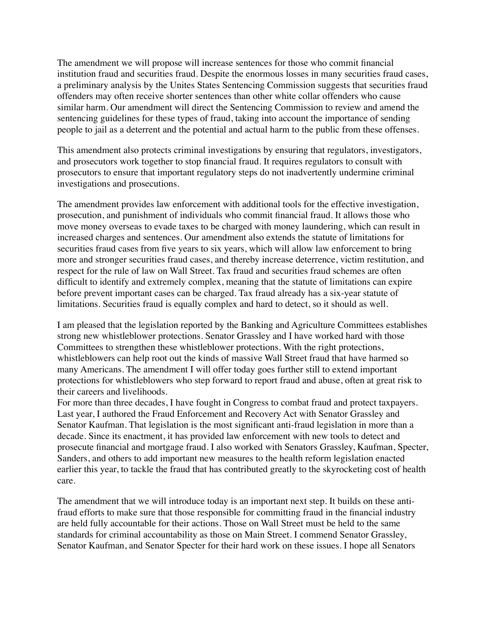The amendment we will propose will increase sentences for those who commit financial institution fraud and securities fraud. Despite the enormous losses in many securities fraud cases, a preliminary analysis by the Unites States Sentencing Commission suggests that securities fraud offenders may often receive shorter sentences than other white collar offenders who cause similar harm. Our amendment will direct the Sentencing Commission to review and amend the sentencing guidelines for these types of fraud, taking into account the importance of sending people to jail as a deterrent and the potential and actual harm to the public from these offenses.

This amendment also protects criminal investigations by ensuring that regulators, investigators, and prosecutors work together to stop financial fraud. It requires regulators to consult with prosecutors to ensure that important regulatory steps do not inadvertently undermine criminal investigations and prosecutions.

The amendment provides law enforcement with additional tools for the effective investigation, prosecution, and punishment of individuals who commit financial fraud. It allows those who move money overseas to evade taxes to be charged with money laundering, which can result in increased charges and sentences. Our amendment also extends the statute of limitations for securities fraud cases from five years to six years, which will allow law enforcement to bring more and stronger securities fraud cases, and thereby increase deterrence, victim restitution, and respect for the rule of law on Wall Street. Tax fraud and securities fraud schemes are often difficult to identify and extremely complex, meaning that the statute of limitations can expire before prevent important cases can be charged. Tax fraud already has a six-year statute of limitations. Securities fraud is equally complex and hard to detect, so it should as well.

I am pleased that the legislation reported by the Banking and Agriculture Committees establishes strong new whistleblower protections. Senator Grassley and I have worked hard with those Committees to strengthen these whistleblower protections. With the right protections, whistleblowers can help root out the kinds of massive Wall Street fraud that have harmed so many Americans. The amendment I will offer today goes further still to extend important protections for whistleblowers who step forward to report fraud and abuse, often at great risk to their careers and livelihoods.

For more than three decades, I have fought in Congress to combat fraud and protect taxpayers. Last year, I authored the Fraud Enforcement and Recovery Act with Senator Grassley and Senator Kaufman. That legislation is the most significant anti-fraud legislation in more than a decade. Since its enactment, it has provided law enforcement with new tools to detect and prosecute financial and mortgage fraud. I also worked with Senators Grassley, Kaufman, Specter, Sanders, and others to add important new measures to the health reform legislation enacted earlier this year, to tackle the fraud that has contributed greatly to the skyrocketing cost of health care.

The amendment that we will introduce today is an important next step. It builds on these antifraud efforts to make sure that those responsible for committing fraud in the financial industry are held fully accountable for their actions. Those on Wall Street must be held to the same standards for criminal accountability as those on Main Street. I commend Senator Grassley, Senator Kaufman, and Senator Specter for their hard work on these issues. I hope all Senators